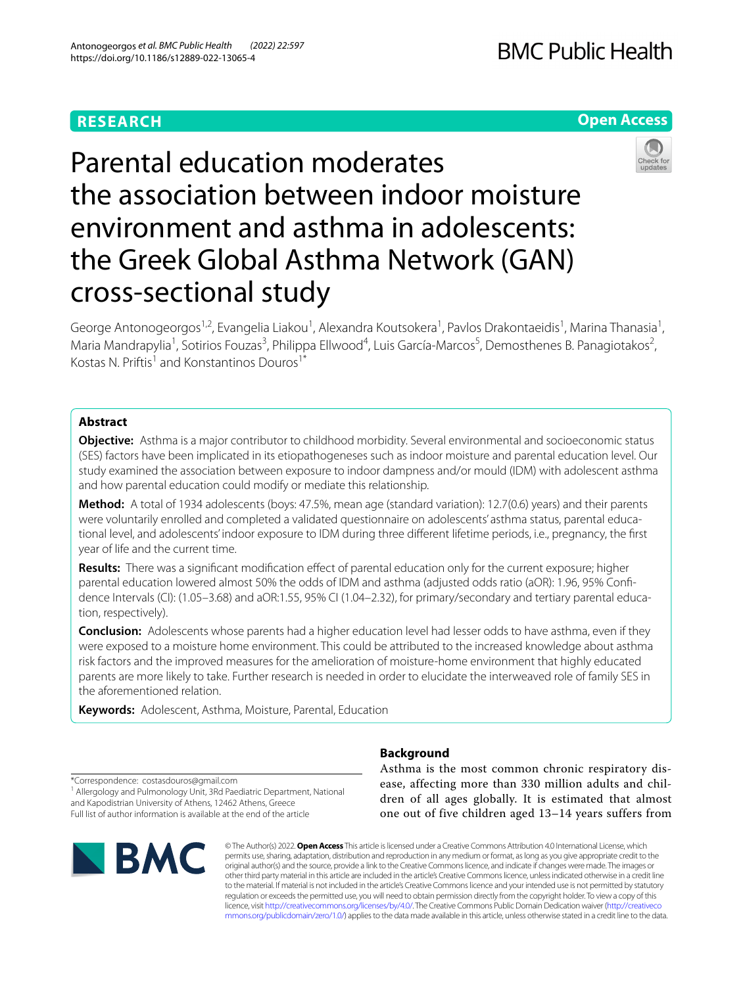# **RESEARCH**

# **BMC Public Health**

# **Open Access**



Parental education moderates the association between indoor moisture environment and asthma in adolescents: the Greek Global Asthma Network (GAN) cross-sectional study

George Antonogeorgos<sup>1,2</sup>, Evangelia Liakou<sup>1</sup>, Alexandra Koutsokera<sup>1</sup>, Pavlos Drakontaeidis<sup>1</sup>, Marina Thanasia<sup>1</sup>, Maria Mandrapylia<sup>1</sup>, Sotirios Fouzas<sup>3</sup>, Philippa Ellwood<sup>4</sup>, Luis García-Marcos<sup>5</sup>, Demosthenes B. Panagiotakos<sup>2</sup>, Kostas N. Priftis<sup>1</sup> and Konstantinos Douros<sup>1\*</sup>

# **Abstract**

**Objective:** Asthma is a major contributor to childhood morbidity. Several environmental and socioeconomic status (SES) factors have been implicated in its etiopathogeneses such as indoor moisture and parental education level. Our study examined the association between exposure to indoor dampness and/or mould (IDM) with adolescent asthma and how parental education could modify or mediate this relationship.

**Method:** A total of 1934 adolescents (boys: 47.5%, mean age (standard variation): 12.7(0.6) years) and their parents were voluntarily enrolled and completed a validated questionnaire on adolescents' asthma status, parental educational level, and adolescents' indoor exposure to IDM during three diferent lifetime periods, i.e., pregnancy, the frst year of life and the current time.

**Results:** There was a significant modification effect of parental education only for the current exposure; higher parental education lowered almost 50% the odds of IDM and asthma (adjusted odds ratio (aOR): 1.96, 95% Confidence Intervals (CI): (1.05–3.68) and aOR:1.55, 95% CI (1.04–2.32), for primary/secondary and tertiary parental education, respectively).

**Conclusion:** Adolescents whose parents had a higher education level had lesser odds to have asthma, even if they were exposed to a moisture home environment. This could be attributed to the increased knowledge about asthma risk factors and the improved measures for the amelioration of moisture-home environment that highly educated parents are more likely to take. Further research is needed in order to elucidate the interweaved role of family SES in the aforementioned relation.

**Keywords:** Adolescent, Asthma, Moisture, Parental, Education

# **Background**

\*Correspondence: costasdouros@gmail.com <sup>1</sup> Allergology and Pulmonology Unit, 3Rd Paediatric Department, National and Kapodistrian University of Athens, 12462 Athens, Greece Full list of author information is available at the end of the article



Asthma is the most common chronic respiratory disease, affecting more than 330 million adults and children of all ages globally. It is estimated that almost one out of five children aged 13–14 years suffers from

© The Author(s) 2022. **Open Access** This article is licensed under a Creative Commons Attribution 4.0 International License, which permits use, sharing, adaptation, distribution and reproduction in any medium or format, as long as you give appropriate credit to the original author(s) and the source, provide a link to the Creative Commons licence, and indicate if changes were made. The images or other third party material in this article are included in the article's Creative Commons licence, unless indicated otherwise in a credit line to the material. If material is not included in the article's Creative Commons licence and your intended use is not permitted by statutory regulation or exceeds the permitted use, you will need to obtain permission directly from the copyright holder. To view a copy of this licence, visit [http://creativecommons.org/licenses/by/4.0/.](http://creativecommons.org/licenses/by/4.0/) The Creative Commons Public Domain Dedication waiver ([http://creativeco](http://creativecommons.org/publicdomain/zero/1.0/) [mmons.org/publicdomain/zero/1.0/](http://creativecommons.org/publicdomain/zero/1.0/)) applies to the data made available in this article, unless otherwise stated in a credit line to the data.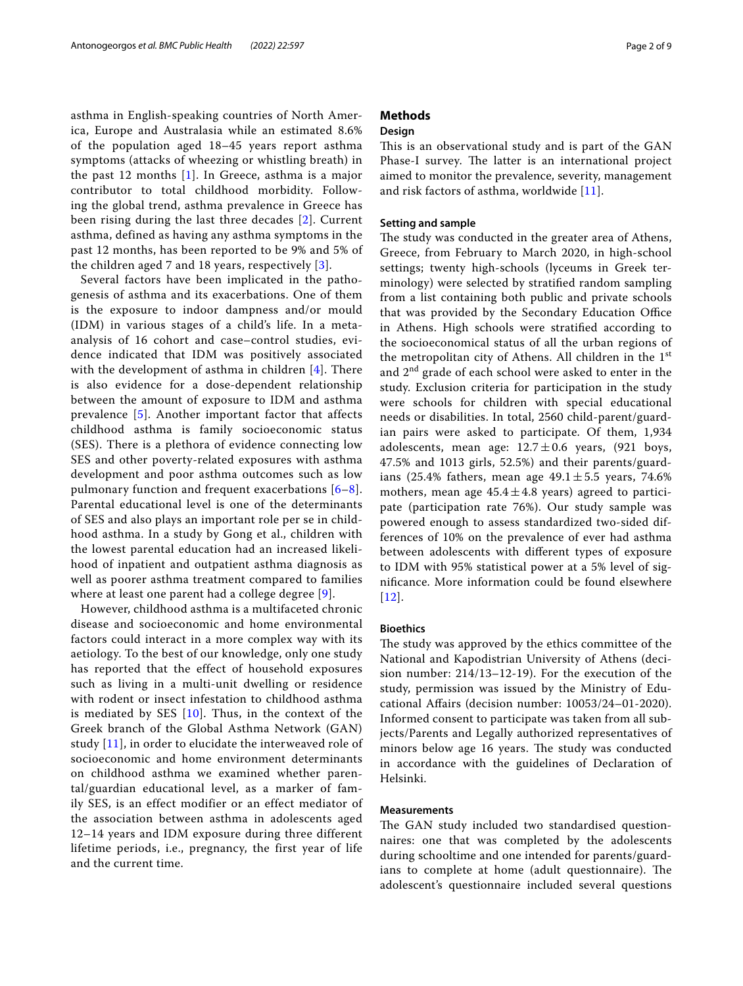asthma in English-speaking countries of North America, Europe and Australasia while an estimated 8.6% of the population aged 18–45 years report asthma symptoms (attacks of wheezing or whistling breath) in the past 12 months [[1\]](#page-7-0). In Greece, asthma is a major contributor to total childhood morbidity. Following the global trend, asthma prevalence in Greece has been rising during the last three decades [\[2\]](#page-7-1). Current asthma, defined as having any asthma symptoms in the past 12 months, has been reported to be 9% and 5% of the children aged 7 and 18 years, respectively [\[3\]](#page-7-2).

Several factors have been implicated in the pathogenesis of asthma and its exacerbations. One of them is the exposure to indoor dampness and/or mould (IDM) in various stages of a child's life. In a metaanalysis of 16 cohort and case–control studies, evidence indicated that IDM was positively associated with the development of asthma in children  $[4]$  $[4]$ . There is also evidence for a dose-dependent relationship between the amount of exposure to IDM and asthma prevalence [[5](#page-7-4)]. Another important factor that affects childhood asthma is family socioeconomic status (SES). There is a plethora of evidence connecting low SES and other poverty-related exposures with asthma development and poor asthma outcomes such as low pulmonary function and frequent exacerbations [[6–](#page-7-5)[8\]](#page-7-6). Parental educational level is one of the determinants of SES and also plays an important role per se in childhood asthma. In a study by Gong et al., children with the lowest parental education had an increased likelihood of inpatient and outpatient asthma diagnosis as well as poorer asthma treatment compared to families where at least one parent had a college degree [[9](#page-7-7)].

However, childhood asthma is a multifaceted chronic disease and socioeconomic and home environmental factors could interact in a more complex way with its aetiology. To the best of our knowledge, only one study has reported that the effect of household exposures such as living in a multi-unit dwelling or residence with rodent or insect infestation to childhood asthma is mediated by SES [[10\]](#page-7-8). Thus, in the context of the Greek branch of the Global Asthma Network (GAN) study [[11\]](#page-7-9), in order to elucidate the interweaved role of socioeconomic and home environment determinants on childhood asthma we examined whether parental/guardian educational level, as a marker of family SES, is an effect modifier or an effect mediator of the association between asthma in adolescents aged 12–14 years and IDM exposure during three different lifetime periods, i.e., pregnancy, the first year of life and the current time.

# **Methods**

# **Design**

This is an observational study and is part of the GAN Phase-I survey. The latter is an international project aimed to monitor the prevalence, severity, management and risk factors of asthma, worldwide [[11\]](#page-7-9).

# **Setting and sample**

The study was conducted in the greater area of Athens, Greece, from February to March 2020, in high-school settings; twenty high-schools (lyceums in Greek terminology) were selected by stratifed random sampling from a list containing both public and private schools that was provided by the Secondary Education Office in Athens. High schools were stratifed according to the socioeconomical status of all the urban regions of the metropolitan city of Athens. All children in the 1st and 2nd grade of each school were asked to enter in the study. Exclusion criteria for participation in the study were schools for children with special educational needs or disabilities. In total, 2560 child-parent/guardian pairs were asked to participate. Of them, 1,934 adolescents, mean age:  $12.7 \pm 0.6$  years, (921 boys, 47.5% and 1013 girls, 52.5%) and their parents/guardians (25.4% fathers, mean age  $49.1 \pm 5.5$  years, 74.6% mothers, mean age  $45.4 \pm 4.8$  years) agreed to participate (participation rate 76%). Our study sample was powered enough to assess standardized two-sided differences of 10% on the prevalence of ever had asthma between adolescents with diferent types of exposure to IDM with 95% statistical power at a 5% level of signifcance. More information could be found elsewhere  $[12]$  $[12]$  $[12]$ .

## **Bioethics**

The study was approved by the ethics committee of the National and Kapodistrian University of Athens (decision number: 214/13–12-19). For the execution of the study, permission was issued by the Ministry of Educational Afairs (decision number: 10053/24–01-2020). Informed consent to participate was taken from all subjects/Parents and Legally authorized representatives of minors below age 16 years. The study was conducted in accordance with the guidelines of Declaration of Helsinki.

# **Measurements**

The GAN study included two standardised questionnaires: one that was completed by the adolescents during schooltime and one intended for parents/guardians to complete at home (adult questionnaire). The adolescent's questionnaire included several questions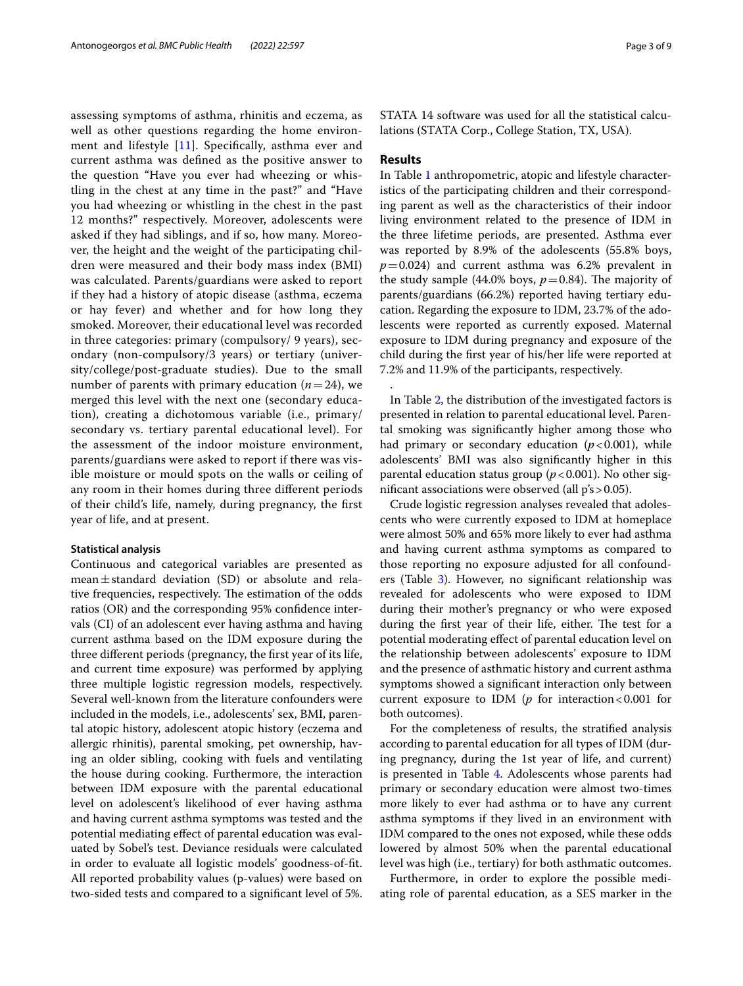assessing symptoms of asthma, rhinitis and eczema, as well as other questions regarding the home environment and lifestyle [\[11](#page-7-9)]. Specifcally, asthma ever and current asthma was defned as the positive answer to the question "Have you ever had wheezing or whistling in the chest at any time in the past?" and "Have you had wheezing or whistling in the chest in the past 12 months?" respectively. Moreover, adolescents were asked if they had siblings, and if so, how many. Moreover, the height and the weight of the participating children were measured and their body mass index (BMI) was calculated. Parents/guardians were asked to report if they had a history of atopic disease (asthma, eczema or hay fever) and whether and for how long they smoked. Moreover, their educational level was recorded in three categories: primary (compulsory/ 9 years), secondary (non-compulsory/3 years) or tertiary (university/college/post-graduate studies). Due to the small number of parents with primary education  $(n=24)$ , we merged this level with the next one (secondary education), creating a dichotomous variable (i.e., primary/ secondary vs. tertiary parental educational level). For the assessment of the indoor moisture environment, parents/guardians were asked to report if there was visible moisture or mould spots on the walls or ceiling of any room in their homes during three diferent periods of their child's life, namely, during pregnancy, the frst year of life, and at present.

## **Statistical analysis**

Continuous and categorical variables are presented as mean $\pm$ standard deviation (SD) or absolute and relative frequencies, respectively. The estimation of the odds ratios (OR) and the corresponding 95% confdence intervals (CI) of an adolescent ever having asthma and having current asthma based on the IDM exposure during the three diferent periods (pregnancy, the frst year of its life, and current time exposure) was performed by applying three multiple logistic regression models, respectively. Several well-known from the literature confounders were included in the models, i.e., adolescents' sex, BMI, parental atopic history, adolescent atopic history (eczema and allergic rhinitis), parental smoking, pet ownership, having an older sibling, cooking with fuels and ventilating the house during cooking. Furthermore, the interaction between IDM exposure with the parental educational level on adolescent's likelihood of ever having asthma and having current asthma symptoms was tested and the potential mediating efect of parental education was evaluated by Sobel's test. Deviance residuals were calculated in order to evaluate all logistic models' goodness-of-ft. All reported probability values (p-values) were based on two-sided tests and compared to a signifcant level of 5%. STATA 14 software was used for all the statistical calculations (STATA Corp., College Station, TX, USA).

# **Results**

.

In Table [1](#page-3-0) anthropometric, atopic and lifestyle characteristics of the participating children and their corresponding parent as well as the characteristics of their indoor living environment related to the presence of IDM in the three lifetime periods, are presented. Asthma ever was reported by 8.9% of the adolescents (55.8% boys,  $p=0.024$ ) and current asthma was 6.2% prevalent in the study sample (44.0% boys,  $p=0.84$ ). The majority of parents/guardians (66.2%) reported having tertiary education. Regarding the exposure to IDM, 23.7% of the adolescents were reported as currently exposed. Maternal exposure to IDM during pregnancy and exposure of the child during the frst year of his/her life were reported at 7.2% and 11.9% of the participants, respectively.

In Table [2](#page-3-1), the distribution of the investigated factors is presented in relation to parental educational level. Parental smoking was signifcantly higher among those who had primary or secondary education  $(p<0.001)$ , while adolescents' BMI was also signifcantly higher in this parental education status group ( $p$  < 0.001). No other signifcant associations were observed (all p's>0.05).

Crude logistic regression analyses revealed that adolescents who were currently exposed to IDM at homeplace were almost 50% and 65% more likely to ever had asthma and having current asthma symptoms as compared to those reporting no exposure adjusted for all confounders (Table [3\)](#page-4-0). However, no signifcant relationship was revealed for adolescents who were exposed to IDM during their mother's pregnancy or who were exposed during the first year of their life, either. The test for a potential moderating efect of parental education level on the relationship between adolescents' exposure to IDM and the presence of asthmatic history and current asthma symptoms showed a signifcant interaction only between current exposure to IDM ( $p$  for interaction <0.001 for both outcomes).

For the completeness of results, the stratifed analysis according to parental education for all types of IDM (during pregnancy, during the 1st year of life, and current) is presented in Table [4.](#page-5-0) Adolescents whose parents had primary or secondary education were almost two-times more likely to ever had asthma or to have any current asthma symptoms if they lived in an environment with IDM compared to the ones not exposed, while these odds lowered by almost 50% when the parental educational level was high (i.e., tertiary) for both asthmatic outcomes.

Furthermore, in order to explore the possible mediating role of parental education, as a SES marker in the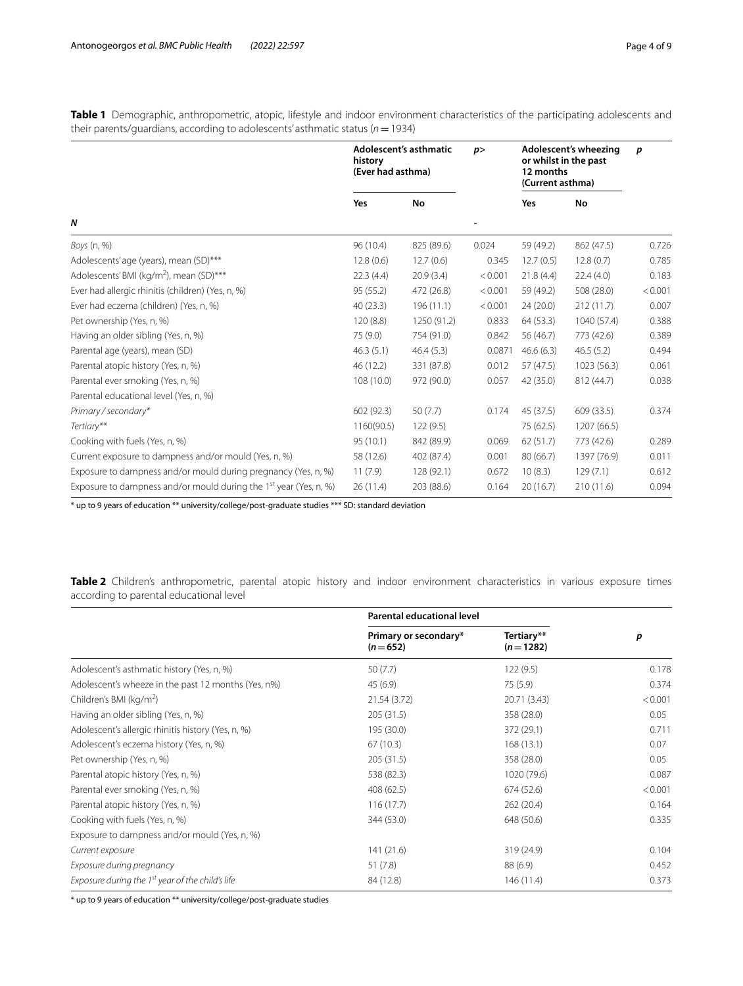<span id="page-3-0"></span>**Table 1** Demographic, anthropometric, atopic, lifestyle and indoor environment characteristics of the participating adolescents and their parents/guardians, according to adolescents' asthmatic status (*n*=1934)

|                                                                               | Adolescent's asthmatic<br>history<br>(Ever had asthma) |             | p       | Adolescent's wheezing<br>or whilst in the past<br>12 months<br>(Current asthma) |             | p       |
|-------------------------------------------------------------------------------|--------------------------------------------------------|-------------|---------|---------------------------------------------------------------------------------|-------------|---------|
|                                                                               | Yes                                                    | No          |         | Yes                                                                             | No          |         |
| N                                                                             |                                                        |             |         |                                                                                 |             |         |
| Boys (n, %)                                                                   | 96 (10.4)                                              | 825 (89.6)  | 0.024   | 59 (49.2)                                                                       | 862 (47.5)  | 0.726   |
| Adolescents'age (years), mean (SD)***                                         | 12.8(0.6)                                              | 12.7(0.6)   | 0.345   | 12.7(0.5)                                                                       | 12.8(0.7)   | 0.785   |
| Adolescents' BMI (kg/m <sup>2</sup> ), mean (SD)***                           | 22.3(4.4)                                              | 20.9(3.4)   | < 0.001 | 21.8(4.4)                                                                       | 22.4(4.0)   | 0.183   |
| Ever had allergic rhinitis (children) (Yes, n, %)                             | 95 (55.2)                                              | 472 (26.8)  | < 0.001 | 59 (49.2)                                                                       | 508 (28.0)  | < 0.001 |
| Ever had eczema (children) (Yes, n, %)                                        | 40(23.3)                                               | 196(11.1)   | < 0.001 | 24(20.0)                                                                        | 212(11.7)   | 0.007   |
| Pet ownership (Yes, n, %)                                                     | 120(8.8)                                               | 1250 (91.2) | 0.833   | 64 (53.3)                                                                       | 1040 (57.4) | 0.388   |
| Having an older sibling (Yes, n, %)                                           | 75 (9.0)                                               | 754 (91.0)  | 0.842   | 56 (46.7)                                                                       | 773 (42.6)  | 0.389   |
| Parental age (years), mean (SD)                                               | 46.3(5.1)                                              | 46.4(5.3)   | 0.0871  | 46.6(6.3)                                                                       | 46.5(5.2)   | 0.494   |
| Parental atopic history (Yes, n, %)                                           | 46 (12.2)                                              | 331 (87.8)  | 0.012   | 57 (47.5)                                                                       | 1023 (56.3) | 0.061   |
| Parental ever smoking (Yes, n, %)                                             | 108 (10.0)                                             | 972 (90.0)  | 0.057   | 42 (35.0)                                                                       | 812 (44.7)  | 0.038   |
| Parental educational level (Yes, n, %)                                        |                                                        |             |         |                                                                                 |             |         |
| Primary / secondary*                                                          | 602 (92.3)                                             | 50(7.7)     | 0.174   | 45 (37.5)                                                                       | 609 (33.5)  | 0.374   |
| Tertiary**                                                                    | 1160(90.5)                                             | 122(9.5)    |         | 75 (62.5)                                                                       | 1207 (66.5) |         |
| Cooking with fuels (Yes, n, %)                                                | 95(10.1)                                               | 842 (89.9)  | 0.069   | 62(51.7)                                                                        | 773 (42.6)  | 0.289   |
| Current exposure to dampness and/or mould (Yes, n, %)                         | 58 (12.6)                                              | 402 (87.4)  | 0.001   | 80 (66.7)                                                                       | 1397 (76.9) | 0.011   |
| Exposure to dampness and/or mould during pregnancy (Yes, n, %)                | 11(7.9)                                                | 128 (92.1)  | 0.672   | 10(8.3)                                                                         | 129(7.1)    | 0.612   |
| Exposure to dampness and/or mould during the 1 <sup>st</sup> year (Yes, n, %) | 26(11.4)                                               | 203 (88.6)  | 0.164   | 20(16.7)                                                                        | 210 (11.6)  | 0.094   |

\* up to 9 years of education \*\* university/college/post-graduate studies \*\*\* SD: standard deviation

<span id="page-3-1"></span>**Table 2** Children's anthropometric, parental atopic history and indoor environment characteristics in various exposure times according to parental educational level

|                                                              | <b>Parental educational level</b>  |                          |         |
|--------------------------------------------------------------|------------------------------------|--------------------------|---------|
|                                                              | Primary or secondary*<br>$(n=652)$ | Tertiary**<br>$(n=1282)$ | p       |
| Adolescent's asthmatic history (Yes, n, %)                   | 50(7.7)                            | 122(9.5)                 | 0.178   |
| Adolescent's wheeze in the past 12 months (Yes, n%)          | 45(6.9)                            | 75(5.9)                  | 0.374   |
| Children's BMI (kg/m <sup>2</sup> )                          | 21.54 (3.72)                       | 20.71 (3.43)             | < 0.001 |
| Having an older sibling (Yes, n, %)                          | 205(31.5)                          | 358 (28.0)               | 0.05    |
| Adolescent's allergic rhinitis history (Yes, n, %)           | 195 (30.0)                         | 372 (29.1)               | 0.711   |
| Adolescent's eczema history (Yes, n, %)                      | 67(10.3)                           | 168(13.1)                | 0.07    |
| Pet ownership (Yes, n, %)                                    | 205(31.5)                          | 358 (28.0)               | 0.05    |
| Parental atopic history (Yes, n, %)                          | 538 (82.3)                         | 1020 (79.6)              | 0.087   |
| Parental ever smoking (Yes, n, %)                            | 408(62.5)                          | 674 (52.6)               | < 0.001 |
| Parental atopic history (Yes, n, %)                          | 116(17.7)                          | 262 (20.4)               | 0.164   |
| Cooking with fuels (Yes, n, %)                               | 344 (53.0)                         | 648 (50.6)               | 0.335   |
| Exposure to dampness and/or mould (Yes, n, %)                |                                    |                          |         |
| Current exposure                                             | 141 (21.6)                         | 319 (24.9)               | 0.104   |
| Exposure during pregnancy                                    | 51(7.8)                            | 88 (6.9)                 | 0.452   |
| Exposure during the 1 <sup>st</sup> year of the child's life | 84 (12.8)                          | 146 (11.4)               | 0.373   |

\* up to 9 years of education \*\* university/college/post-graduate studies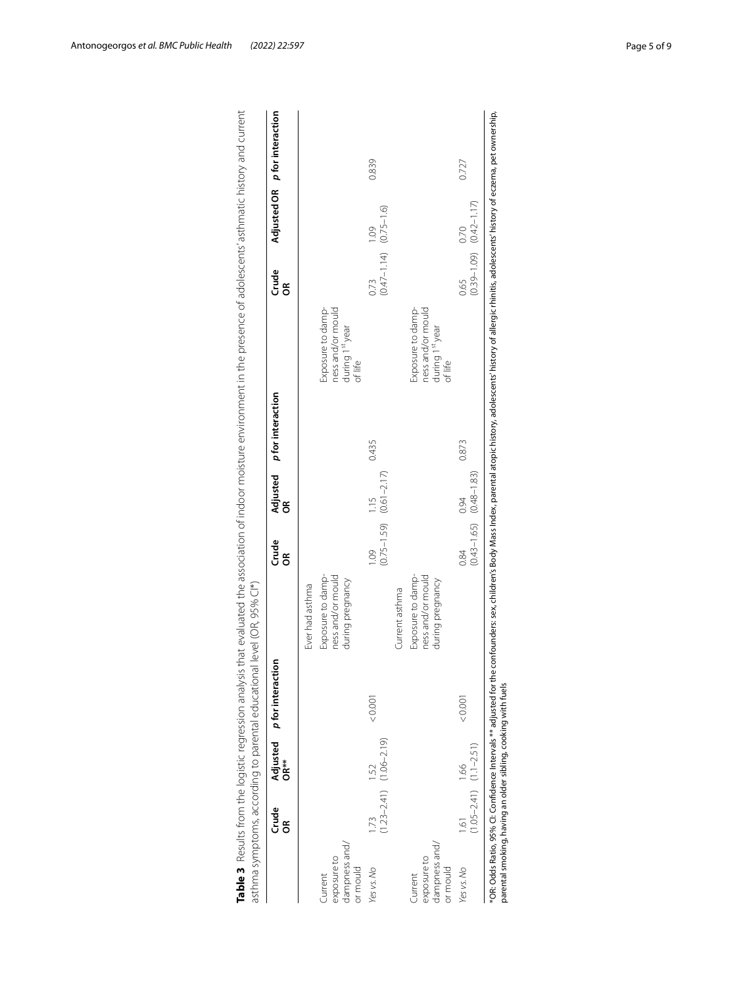|                                                     | <b>Crude</b><br>g | OR**                                    | Adjusted p for interaction |                                                                               | Crude<br>g              | Adjusted<br>g           | p for interaction |                                                                                  | <b>Crude</b><br>g                       |      | Adjusted OR p for interaction |
|-----------------------------------------------------|-------------------|-----------------------------------------|----------------------------|-------------------------------------------------------------------------------|-------------------------|-------------------------|-------------------|----------------------------------------------------------------------------------|-----------------------------------------|------|-------------------------------|
| dampness and/<br>exposure to<br>or mould<br>Current |                   |                                         |                            | ness and/or mould<br>Exposure to damp-<br>during pregnancy<br>Ever had asthma |                         |                         |                   | ness and/or mould<br>Exposure to damp-<br>during 1 <sup>st</sup> year<br>of life |                                         |      |                               |
| Yes vs. No                                          | 1.73              | $(1.23 - 2.41)$ $(1.06 - 2.19)$<br>1.52 | 0.001                      |                                                                               | $(0.75 - 1.59)$<br>1.09 | $(0.61 - 2.17)$<br>1.15 | 0.435             |                                                                                  | $(0.47 - 1.14)$ $(0.75 - 1.6)$<br>0.73  | 1.09 | 0.839                         |
| dampness and/<br>exposure to<br>or mould<br>Current |                   |                                         |                            | ness and/or mould<br>Exposure to damp-<br>during pregnancy<br>Current asthma  |                         |                         |                   | Exposure to damp-<br>ness and/or mould<br>during 1st year<br>of life             |                                         |      |                               |
| Yes vs. No                                          | 1.61              | $(1.05 - 2.41)$ $(1.1 - 2.51)$<br>1.66  | < 0.001                    |                                                                               | $(0.43 - 1.65)$<br>0.84 | $(0.48 - 1.83)$<br>0.94 | 0.873             |                                                                                  | $(0.39 - 1.09)$ $(0.42 - 1.17)$<br>0.65 | 0.70 | 0.727                         |

<span id="page-4-0"></span>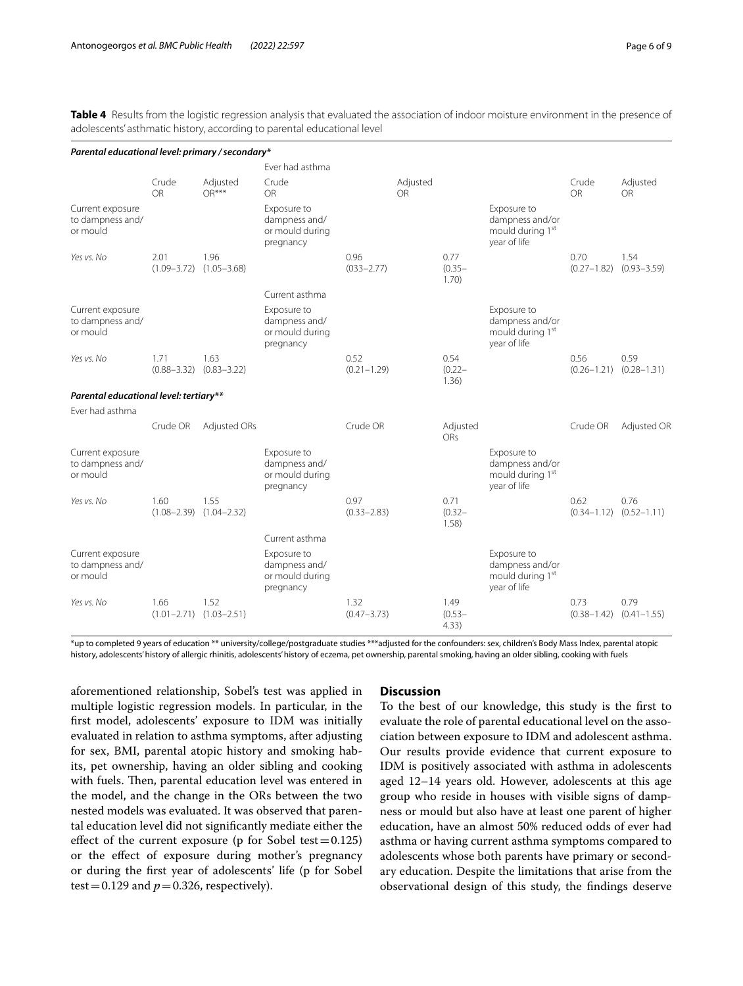<span id="page-5-0"></span>Table 4 Results from the logistic regression analysis that evaluated the association of indoor moisture environment in the presence of adolescents' asthmatic history, according to parental educational level

| Parental educational level: primary / secondary* |                         |                                         |                                                              |                         |                       |                            |                                                                                |                         |                         |
|--------------------------------------------------|-------------------------|-----------------------------------------|--------------------------------------------------------------|-------------------------|-----------------------|----------------------------|--------------------------------------------------------------------------------|-------------------------|-------------------------|
|                                                  |                         |                                         | Ever had asthma                                              |                         |                       |                            |                                                                                |                         |                         |
|                                                  | Crude<br>OR             | Adjusted<br>$OR***$                     | Crude<br><b>OR</b>                                           |                         | Adjusted<br><b>OR</b> |                            |                                                                                | Crude<br>OR             | Adjusted<br><b>OR</b>   |
| Current exposure<br>to dampness and/<br>or mould |                         |                                         | Exposure to<br>dampness and/<br>or mould during<br>pregnancy |                         |                       |                            | Exposure to<br>dampness and/or<br>mould during 1 <sup>st</sup><br>year of life |                         |                         |
| Yes vs. No                                       | 2.01<br>$(1.09 - 3.72)$ | 1.96<br>$(1.05 - 3.68)$                 |                                                              | 0.96<br>$(033 - 2.77)$  |                       | 0.77<br>$(0.35 -$<br>1.70) |                                                                                | 0.70<br>$(0.27 - 1.82)$ | 1.54<br>$(0.93 - 3.59)$ |
|                                                  |                         |                                         | Current asthma                                               |                         |                       |                            |                                                                                |                         |                         |
| Current exposure<br>to dampness and/<br>or mould |                         |                                         | Exposure to<br>dampness and/<br>or mould during<br>pregnancy |                         |                       |                            | Exposure to<br>dampness and/or<br>mould during 1 <sup>st</sup><br>year of life |                         |                         |
| Yes vs. No                                       | 1.71<br>$(0.88 - 3.32)$ | 1.63<br>$(0.83 - 3.22)$                 |                                                              | 0.52<br>$(0.21 - 1.29)$ |                       | 0.54<br>$(0.22 -$<br>1.36) |                                                                                | 0.56<br>$(0.26 - 1.21)$ | 0.59<br>$(0.28 - 1.31)$ |
| Parental educational level: tertiary**           |                         |                                         |                                                              |                         |                       |                            |                                                                                |                         |                         |
| Ever had asthma                                  |                         |                                         |                                                              |                         |                       |                            |                                                                                |                         |                         |
|                                                  | Crude OR                | Adjusted ORs                            |                                                              | Crude OR                |                       | Adjusted<br><b>ORs</b>     |                                                                                | Crude OR                | Adjusted OR             |
| Current exposure<br>to dampness and/<br>or mould |                         |                                         | Exposure to<br>dampness and/<br>or mould during<br>pregnancy |                         |                       |                            | Exposure to<br>dampness and/or<br>mould during 1 <sup>st</sup><br>year of life |                         |                         |
| Yes vs. No                                       | 1.60                    | 1.55<br>$(1.08 - 2.39)$ $(1.04 - 2.32)$ |                                                              | 0.97<br>$(0.33 - 2.83)$ |                       | 0.71<br>$(0.32 -$<br>1.58) |                                                                                | 0.62<br>$(0.34 - 1.12)$ | 0.76<br>$(0.52 - 1.11)$ |
|                                                  |                         |                                         | Current asthma                                               |                         |                       |                            |                                                                                |                         |                         |
| Current exposure<br>to dampness and/<br>or mould |                         |                                         | Exposure to<br>dampness and/<br>or mould during<br>pregnancy |                         |                       |                            | Exposure to<br>dampness and/or<br>mould during 1 <sup>st</sup><br>year of life |                         |                         |
| Yes vs. No                                       | 1.66                    | 1.52<br>$(1.01 - 2.71)$ $(1.03 - 2.51)$ |                                                              | 1.32<br>$(0.47 - 3.73)$ |                       | 1.49<br>$(0.53 -$<br>4.33) |                                                                                | 0.73<br>$(0.38 - 1.42)$ | 0.79<br>$(0.41 - 1.55)$ |

\*up to completed 9 years of education \*\* university/college/postgraduate studies \*\*\*adjusted for the confounders: sex, children's Body Mass Index, parental atopic history, adolescents' history of allergic rhinitis, adolescents' history of eczema, pet ownership, parental smoking, having an older sibling, cooking with fuels

aforementioned relationship, Sobel's test was applied in multiple logistic regression models. In particular, in the frst model, adolescents' exposure to IDM was initially evaluated in relation to asthma symptoms, after adjusting for sex, BMI, parental atopic history and smoking habits, pet ownership, having an older sibling and cooking with fuels. Then, parental education level was entered in the model, and the change in the ORs between the two nested models was evaluated. It was observed that parental education level did not signifcantly mediate either the effect of the current exposure (p for Sobel test =  $0.125$ ) or the efect of exposure during mother's pregnancy or during the frst year of adolescents' life (p for Sobel test =  $0.129$  and  $p = 0.326$ , respectively).

# **Discussion**

To the best of our knowledge, this study is the frst to evaluate the role of parental educational level on the association between exposure to IDM and adolescent asthma. Our results provide evidence that current exposure to IDM is positively associated with asthma in adolescents aged 12–14 years old. However, adolescents at this age group who reside in houses with visible signs of dampness or mould but also have at least one parent of higher education, have an almost 50% reduced odds of ever had asthma or having current asthma symptoms compared to adolescents whose both parents have primary or secondary education. Despite the limitations that arise from the observational design of this study, the fndings deserve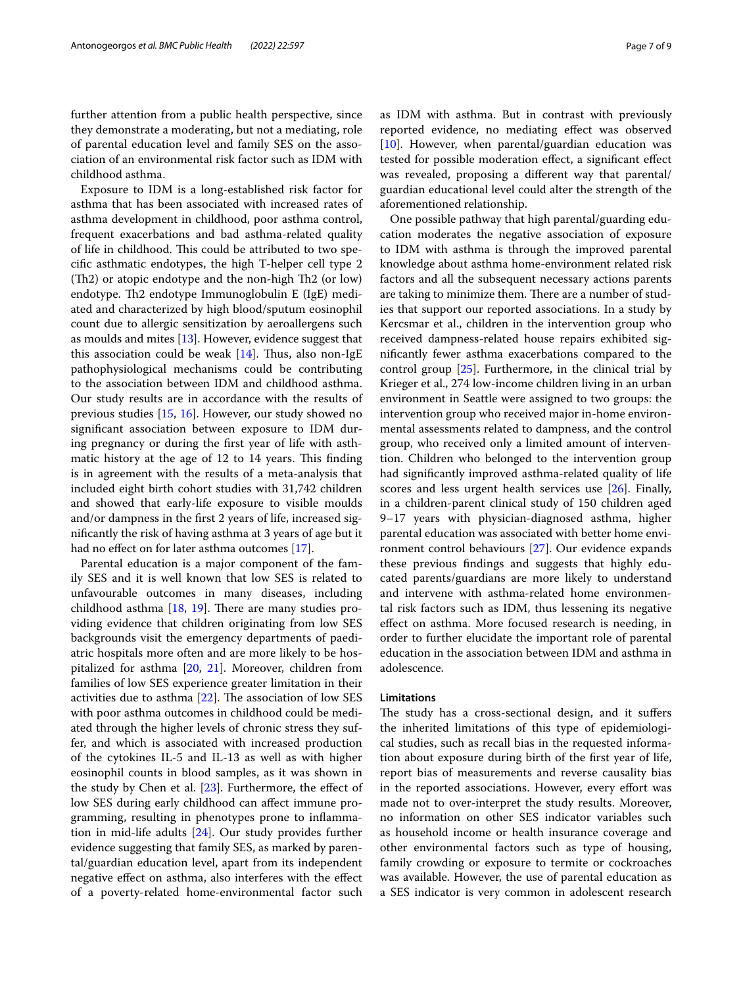further attention from a public health perspective, since they demonstrate a moderating, but not a mediating, role of parental education level and family SES on the association of an environmental risk factor such as IDM with childhood asthma.

Exposure to IDM is a long-established risk factor for asthma that has been associated with increased rates of asthma development in childhood, poor asthma control, frequent exacerbations and bad asthma-related quality of life in childhood. This could be attributed to two specifc asthmatic endotypes, the high T-helper cell type 2  $(Th2)$  or atopic endotype and the non-high Th2 (or low) endotype. Th2 endotype Immunoglobulin E (IgE) mediated and characterized by high blood/sputum eosinophil count due to allergic sensitization by aeroallergens such as moulds and mites [\[13](#page-7-11)]. However, evidence suggest that this association could be weak  $[14]$  $[14]$ . Thus, also non-IgE pathophysiological mechanisms could be contributing to the association between IDM and childhood asthma. Our study results are in accordance with the results of previous studies [\[15](#page-8-0), [16](#page-8-1)]. However, our study showed no signifcant association between exposure to IDM during pregnancy or during the frst year of life with asthmatic history at the age of  $12$  to  $14$  years. This finding is in agreement with the results of a meta-analysis that included eight birth cohort studies with 31,742 children and showed that early-life exposure to visible moulds and/or dampness in the frst 2 years of life, increased signifcantly the risk of having asthma at 3 years of age but it had no efect on for later asthma outcomes [[17](#page-8-2)].

Parental education is a major component of the family SES and it is well known that low SES is related to unfavourable outcomes in many diseases, including childhood asthma  $[18, 19]$  $[18, 19]$  $[18, 19]$  $[18, 19]$  $[18, 19]$ . There are many studies providing evidence that children originating from low SES backgrounds visit the emergency departments of paediatric hospitals more often and are more likely to be hospitalized for asthma [[20,](#page-8-5) [21](#page-8-6)]. Moreover, children from families of low SES experience greater limitation in their activities due to asthma  $[22]$ . The association of low SES with poor asthma outcomes in childhood could be mediated through the higher levels of chronic stress they suffer, and which is associated with increased production of the cytokines IL-5 and IL-13 as well as with higher eosinophil counts in blood samples, as it was shown in the study by Chen et al.  $[23]$  $[23]$ . Furthermore, the effect of low SES during early childhood can afect immune programming, resulting in phenotypes prone to infammation in mid-life adults [[24\]](#page-8-9). Our study provides further evidence suggesting that family SES, as marked by parental/guardian education level, apart from its independent negative efect on asthma, also interferes with the efect of a poverty-related home-environmental factor such as IDM with asthma. But in contrast with previously reported evidence, no mediating efect was observed [[10\]](#page-7-8). However, when parental/guardian education was tested for possible moderation efect, a signifcant efect was revealed, proposing a diferent way that parental/ guardian educational level could alter the strength of the aforementioned relationship.

One possible pathway that high parental/guarding education moderates the negative association of exposure to IDM with asthma is through the improved parental knowledge about asthma home-environment related risk factors and all the subsequent necessary actions parents are taking to minimize them. There are a number of studies that support our reported associations. In a study by Kercsmar et al., children in the intervention group who received dampness-related house repairs exhibited signifcantly fewer asthma exacerbations compared to the control group [\[25](#page-8-10)]. Furthermore, in the clinical trial by Krieger et al., 274 low-income children living in an urban environment in Seattle were assigned to two groups: the intervention group who received major in-home environmental assessments related to dampness, and the control group, who received only a limited amount of intervention. Children who belonged to the intervention group had signifcantly improved asthma-related quality of life scores and less urgent health services use [\[26](#page-8-11)]. Finally, in a children-parent clinical study of 150 children aged 9–17 years with physician-diagnosed asthma, higher parental education was associated with better home environment control behaviours [\[27](#page-8-12)]. Our evidence expands these previous fndings and suggests that highly educated parents/guardians are more likely to understand and intervene with asthma-related home environmental risk factors such as IDM, thus lessening its negative efect on asthma. More focused research is needing, in order to further elucidate the important role of parental education in the association between IDM and asthma in adolescence.

# **Limitations**

The study has a cross-sectional design, and it suffers the inherited limitations of this type of epidemiological studies, such as recall bias in the requested information about exposure during birth of the frst year of life, report bias of measurements and reverse causality bias in the reported associations. However, every effort was made not to over-interpret the study results. Moreover, no information on other SES indicator variables such as household income or health insurance coverage and other environmental factors such as type of housing, family crowding or exposure to termite or cockroaches was available. However, the use of parental education as a SES indicator is very common in adolescent research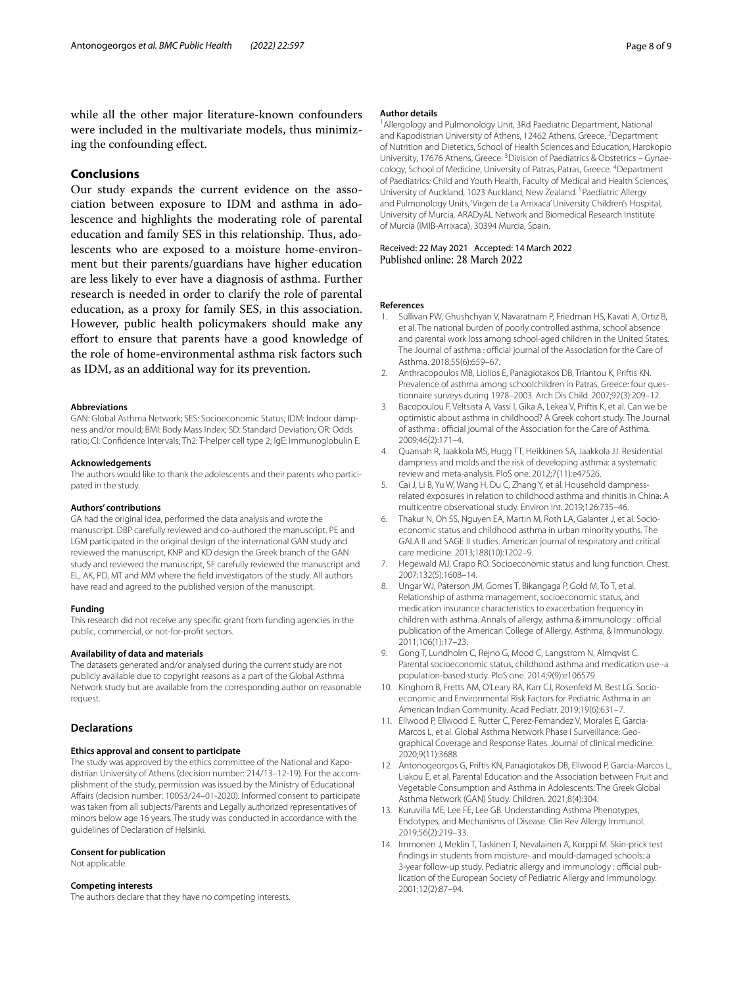while all the other major literature-known confounders were included in the multivariate models, thus minimizing the confounding efect.

# **Conclusions**

Our study expands the current evidence on the association between exposure to IDM and asthma in adolescence and highlights the moderating role of parental education and family SES in this relationship. Thus, adolescents who are exposed to a moisture home-environment but their parents/guardians have higher education are less likely to ever have a diagnosis of asthma. Further research is needed in order to clarify the role of parental education, as a proxy for family SES, in this association. However, public health policymakers should make any effort to ensure that parents have a good knowledge of the role of home-environmental asthma risk factors such as IDM, as an additional way for its prevention.

#### **Abbreviations**

GAN: Global Asthma Network; SES: Socioeconomic Status; IDM: Indoor dampness and/or mould; BMI: Body Mass Index; SD: Standard Deviation; OR: Odds ratio; CI: Confdence Intervals; Th2: T-helper cell type 2; IgE: Immunoglobulin E.

#### **Acknowledgements**

The authors would like to thank the adolescents and their parents who participated in the study.

#### **Authors' contributions**

GA had the original idea, performed the data analysis and wrote the manuscript. DBP carefully reviewed and co-authored the manuscript. PE and LGM participated in the original design of the international GAN study and reviewed the manuscript, KNP and KD design the Greek branch of the GAN study and reviewed the manuscript, SF carefully reviewed the manuscript and EL, AK, PD, MT and MM where the feld investigators of the study. All authors have read and agreed to the published version of the manuscript.

#### **Funding**

This research did not receive any specifc grant from funding agencies in the public, commercial, or not-for-proft sectors.

#### **Availability of data and materials**

The datasets generated and/or analysed during the current study are not publicly available due to copyright reasons as a part of the Global Asthma Network study but are available from the corresponding author on reasonable request.

#### **Declarations**

#### **Ethics approval and consent to participate**

The study was approved by the ethics committee of the National and Kapodistrian University of Athens (decision number: 214/13-12-19). For the accomplishment of the study, permission was issued by the Ministry of Educational Afairs (decision number: 10053/24–01-2020). Informed consent to participate was taken from all subjects/Parents and Legally authorized representatives of minors below age 16 years. The study was conducted in accordance with the guidelines of Declaration of Helsinki.

#### **Consent for publication**

Not applicable.

#### **Competing interests**

The authors declare that they have no competing interests.

#### **Author details**

<sup>1</sup> Allergology and Pulmonology Unit, 3Rd Paediatric Department, National and Kapodistrian University of Athens, 12462 Athens, Greece. <sup>2</sup> Department of Nutrition and Dietetics, School of Health Sciences and Education, Harokopio University, 17676 Athens, Greece.<sup>3</sup> Division of Paediatrics & Obstetrics - Gynaecology, School of Medicine, University of Patras, Patras, Greece. <sup>4</sup>Department of Paediatrics: Child and Youth Health, Faculty of Medical and Health Sciences, University of Auckland, 1023 Auckland, New Zealand. <sup>5</sup> Paediatric Allergy and Pulmonology Units, 'Virgen de La Arrixaca' University Children's Hospital, University of Murcia, ARADyAL Network and Biomedical Research Institute of Murcia (IMIB-Arrixaca), 30394 Murcia, Spain.

Received: 22 May 2021 Accepted: 14 March 2022<br>Published online: 28 March 2022

#### **References**

- <span id="page-7-0"></span>1. Sullivan PW, Ghushchyan V, Navaratnam P, Friedman HS, Kavati A, Ortiz B, et al. The national burden of poorly controlled asthma, school absence and parental work loss among school-aged children in the United States. The Journal of asthma : official journal of the Association for the Care of Asthma. 2018;55(6):659–67.
- <span id="page-7-1"></span>2. Anthracopoulos MB, Liolios E, Panagiotakos DB, Triantou K, Priftis KN. Prevalence of asthma among schoolchildren in Patras, Greece: four questionnaire surveys during 1978–2003. Arch Dis Child. 2007;92(3):209–12.
- <span id="page-7-2"></span>3. Bacopoulou F, Veltsista A, Vassi I, Gika A, Lekea V, Priftis K, et al. Can we be optimistic about asthma in childhood? A Greek cohort study. The Journal of asthma : official journal of the Association for the Care of Asthma. 2009;46(2):171–4.
- <span id="page-7-3"></span>4. Quansah R, Jaakkola MS, Hugg TT, Heikkinen SA, Jaakkola JJ. Residential dampness and molds and the risk of developing asthma: a systematic review and meta-analysis. PloS one. 2012;7(11):e47526.
- <span id="page-7-4"></span>5. Cai J, Li B, Yu W, Wang H, Du C, Zhang Y, et al. Household dampnessrelated exposures in relation to childhood asthma and rhinitis in China: A multicentre observational study. Environ Int. 2019;126:735–46.
- <span id="page-7-5"></span>6. Thakur N, Oh SS, Nguyen EA, Martin M, Roth LA, Galanter J, et al. Socioeconomic status and childhood asthma in urban minority youths. The GALA II and SAGE II studies. American journal of respiratory and critical care medicine. 2013;188(10):1202–9.
- 7. Hegewald MJ, Crapo RO. Socioeconomic status and lung function. Chest. 2007;132(5):1608–14.
- <span id="page-7-6"></span>8. Ungar WJ, Paterson JM, Gomes T, Bikangaga P, Gold M, To T, et al. Relationship of asthma management, socioeconomic status, and medication insurance characteristics to exacerbation frequency in children with asthma. Annals of allergy, asthma & immunology : official publication of the American College of Allergy, Asthma, & Immunology. 2011;106(1):17–23.
- <span id="page-7-7"></span>9. Gong T, Lundholm C, Rejno G, Mood C, Langstrom N, Almqvist C. Parental socioeconomic status, childhood asthma and medication use–a population-based study. PloS one. 2014;9(9):e106579
- <span id="page-7-8"></span>10. Kinghorn B, Fretts AM, O'Leary RA, Karr CJ, Rosenfeld M, Best LG. Socioeconomic and Environmental Risk Factors for Pediatric Asthma in an American Indian Community. Acad Pediatr. 2019;19(6):631–7.
- <span id="page-7-9"></span>11. Ellwood P, Ellwood E, Rutter C, Perez-Fernandez V, Morales E, Garcia-Marcos L, et al. Global Asthma Network Phase I Surveillance: Geographical Coverage and Response Rates. Journal of clinical medicine. 2020;9(11):3688.
- <span id="page-7-10"></span>12. Antonogeorgos G, Priftis KN, Panagiotakos DB, Ellwood P, Garcia-Marcos L, Liakou E, et al. Parental Education and the Association between Fruit and Vegetable Consumption and Asthma in Adolescents: The Greek Global Asthma Network (GAN) Study. Children. 2021;8(4):304.
- <span id="page-7-11"></span>13. Kuruvilla ME, Lee FE, Lee GB. Understanding Asthma Phenotypes, Endotypes, and Mechanisms of Disease. Clin Rev Allergy Immunol. 2019;56(2):219–33.
- <span id="page-7-12"></span>14. Immonen J, Meklin T, Taskinen T, Nevalainen A, Korppi M. Skin-prick test fndings in students from moisture- and mould-damaged schools: a 3-year follow-up study. Pediatric allergy and immunology : official publication of the European Society of Pediatric Allergy and Immunology. 2001;12(2):87–94.